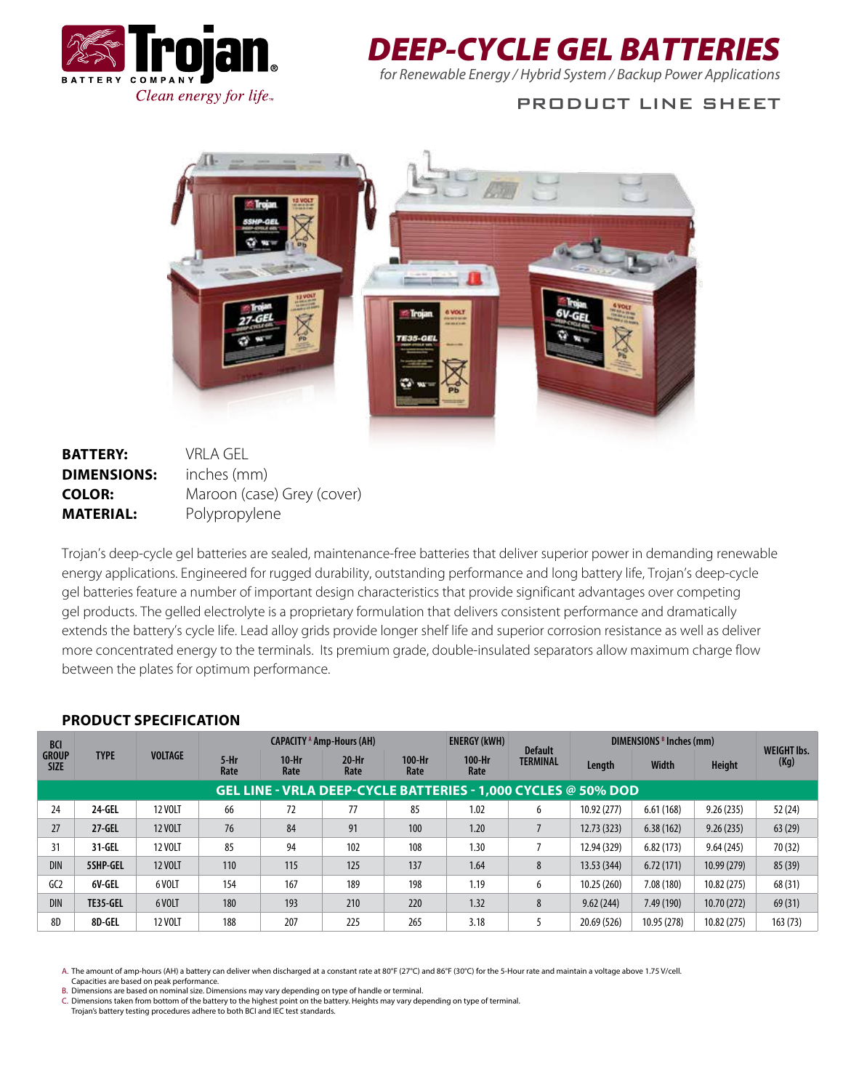

# *DEEP-CYCLE GEL BATTERIES*

*for Renewable Energy / Hybrid System / Backup Power Applications*

## PRODUCT LINE SHEET



## **BATTERY:** VRLA GEL **DIMENSIONS:** inches (mm) **COLOR:** Maroon (case) Grey (cover) **MATERIAL:** Polypropylene

Trojan's deep-cycle gel batteries are sealed, maintenance-free batteries that deliver superior power in demanding renewable energy applications. Engineered for rugged durability, outstanding performance and long battery life, Trojan's deep-cycle gel batteries feature a number of important design characteristics that provide significant advantages over competing gel products. The gelled electrolyte is a proprietary formulation that delivers consistent performance and dramatically extends the battery's cycle life. Lead alloy grids provide longer shelf life and superior corrosion resistance as well as deliver more concentrated energy to the terminals. Its premium grade, double-insulated separators allow maximum charge flow between the plates for optimum performance.

| <b>BCI</b><br><b>GROUP</b><br><b>SIZE</b>                     | <b>TYPE</b> | <b>VOLTAGE</b> | <b>CAPACITY Amp-Hours (AH)</b> |                 |                 |                | <b>ENERGY (kWH)</b> | <b>Default</b>  | DIMENSIONS <sup>B</sup> Inches (mm) |             |               | <b>WEIGHT Ibs.</b> |
|---------------------------------------------------------------|-------------|----------------|--------------------------------|-----------------|-----------------|----------------|---------------------|-----------------|-------------------------------------|-------------|---------------|--------------------|
|                                                               |             |                | $5-Hr$<br>Rate                 | $10-Hr$<br>Rate | $20-Hr$<br>Rate | 100-Hr<br>Rate | 100-Hr<br>Rate      | <b>TERMINAL</b> | Length                              | Width       | <b>Height</b> | (Kg)               |
| GEL LINE - VRLA DEEP-CYCLE BATTERIES - 1,000 CYCLES @ 50% DOD |             |                |                                |                 |                 |                |                     |                 |                                     |             |               |                    |
| 24                                                            | 24-GEL      | 12 VOLT        | 66                             | 72              | 77              | 85             | 1.02                | 6               | 10.92 (277)                         | 6.61(168)   | 9.26(235)     | 52 (24)            |
| 27                                                            | $27 - GEL$  | <b>12 VOLT</b> | 76                             | 84              | 91              | 100            | 1.20                |                 | 12.73 (323)                         | 6.38(162)   | 9.26(235)     | 63(29)             |
| 31                                                            | 31-GEL      | <b>12 VOLT</b> | 85                             | 94              | 102             | 108            | 1.30                |                 | 12.94 (329)                         | 6.82(173)   | 9.64(245)     | 70 (32)            |
| <b>DIN</b>                                                    | 5SHP-GEL    | <b>12 VOLT</b> | 110                            | 115             | 125             | 137            | 1.64                | 8               | 13.53 (344)                         | 6.72(171)   | 10.99(279)    | 85(39)             |
| G <sub>C</sub>                                                | 6V-GEL      | 6 VOLT         | 154                            | 167             | 189             | 198            | 1.19                | 6               | 10.25 (260)                         | 7.08 (180)  | 10.82 (275)   | 68 (31)            |
| <b>DIN</b>                                                    | TE35-GEL    | 6 VOLT         | 180                            | 193             | 210             | 220            | 1.32                | 8               | 9.62(244)                           | 7.49 (190)  | 10.70(272)    | 69(31)             |
| 8D                                                            | 8D-GEL      | <b>12 VOLT</b> | 188                            | 207             | 225             | 265            | 3.18                |                 | 20.69 (526)                         | 10.95 (278) | 10.82 (275)   | 163(73)            |

#### **PRODUCT SPECIFICATION**

A. The amount of amp-hours (AH) a battery can deliver when discharged at a constant rate at 80°F (27°C) and 86°F (30°C) for the 5-Hour rate and maintain a voltage above 1.75 V/cell. Capacities are based on peak performance. B. Dimensions are based on nominal size. Dimensions may vary depending on type of handle or terminal.

C. Dimensions taken from bottom of the battery to the highest point on the battery. Heights may vary depending on type of terminal. Trojan's battery testing procedures adhere to both BCI and IEC test standards.